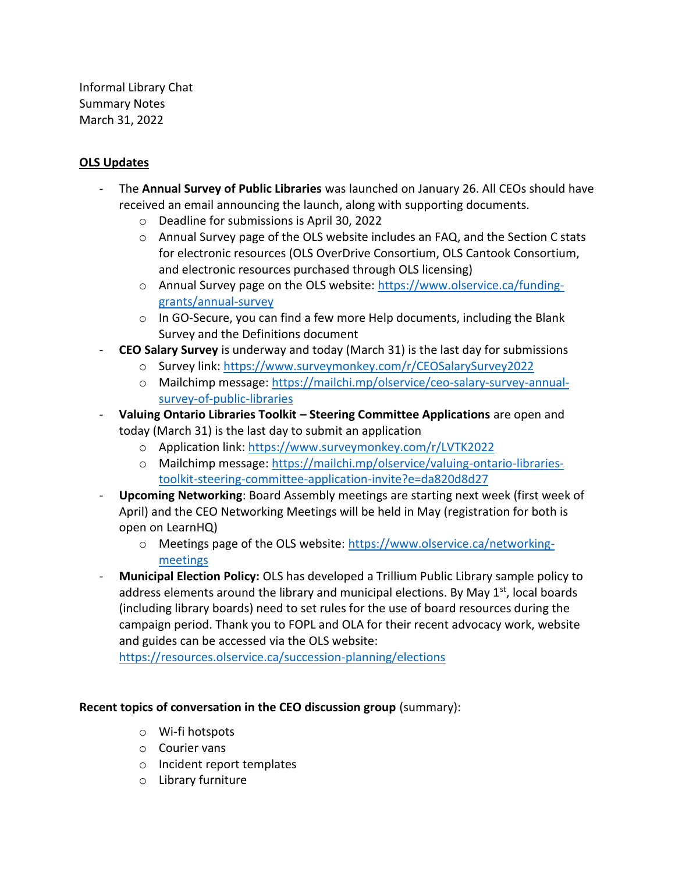Informal Library Chat Summary Notes March 31, 2022

# **OLS Updates**

- The **Annual Survey of Public Libraries** was launched on January 26. All CEOs should have received an email announcing the launch, along with supporting documents.
	- o Deadline for submissions is April 30, 2022
	- $\circ$  Annual Survey page of the OLS website includes an FAQ, and the Section C stats for electronic resources (OLS OverDrive Consortium, OLS Cantook Consortium, and electronic resources purchased through OLS licensing)
	- o Annual Survey page on the OLS website: [https://www.olservice.ca/funding](https://www.olservice.ca/funding-grants/annual-survey)[grants/annual-survey](https://www.olservice.ca/funding-grants/annual-survey)
	- o In GO-Secure, you can find a few more Help documents, including the Blank Survey and the Definitions document
- **CEO Salary Survey** is underway and today (March 31) is the last day for submissions
	- o Survey link[: https://www.surveymonkey.com/r/CEOSalarySurvey2022](https://www.surveymonkey.com/r/CEOSalarySurvey2022)
	- o Mailchimp message: [https://mailchi.mp/olservice/ceo-salary-survey-annual](https://mailchi.mp/olservice/ceo-salary-survey-annual-survey-of-public-libraries)[survey-of-public-libraries](https://mailchi.mp/olservice/ceo-salary-survey-annual-survey-of-public-libraries)
- **Valuing Ontario Libraries Toolkit – Steering Committee Applications** are open and today (March 31) is the last day to submit an application
	- o Application link:<https://www.surveymonkey.com/r/LVTK2022>
	- o Mailchimp message: [https://mailchi.mp/olservice/valuing-ontario-libraries](https://mailchi.mp/olservice/valuing-ontario-libraries-toolkit-steering-committee-application-invite?e=da820d8d27)[toolkit-steering-committee-application-invite?e=da820d8d27](https://mailchi.mp/olservice/valuing-ontario-libraries-toolkit-steering-committee-application-invite?e=da820d8d27)
- **Upcoming Networking**: Board Assembly meetings are starting next week (first week of April) and the CEO Networking Meetings will be held in May (registration for both is open on LearnHQ)
	- o Meetings page of the OLS website: [https://www.olservice.ca/networking](https://www.olservice.ca/networking-meetings)[meetings](https://www.olservice.ca/networking-meetings)
- **Municipal Election Policy:** OLS has developed a Trillium Public Library sample policy to address elements around the library and municipal elections. By May  $1<sup>st</sup>$ , local boards (including library boards) need to set rules for the use of board resources during the campaign period. Thank you to FOPL and OLA for their recent advocacy work, website and guides can be accessed via the OLS website:

<https://resources.olservice.ca/succession-planning/elections>

# **Recent topics of conversation in the CEO discussion group** (summary):

- o Wi-fi hotspots
- o Courier vans
- o Incident report templates
- o Library furniture